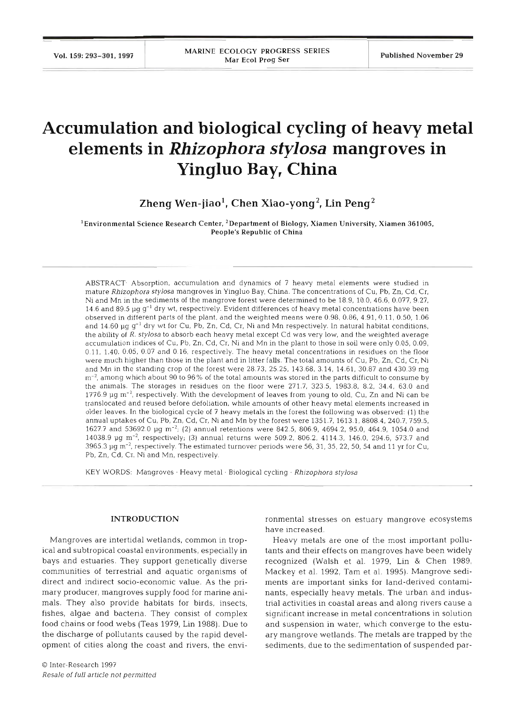Vol. 159: 293-301. 1997

# **Accumulation and biological cycling of heavy metal elements in** *Rhizophora stylosa* **mangroves in Yingluo Bay, China**

**Zheng Wen-jiaol, Chen Xiao-yong2, Lin peng2** 

'Environmental Science Research Center, 2Department of Biology, Xiamen University. Xiamen **361005,**  People's Republic of China

ABSTRACT. Absorption, accumulation and dynamics of 7 heavy metal elements were studied in mature Rhizophora stylosa mangroves in Yingluo Bay, China. The concentrations of Cu, Pb, Zn, Cd, Cr, Ni and Mn in the sediments of the mangrove forest were determined to be 18.9, 10.0, 46.6, 0.077, 9.27, 14.6 and 89.5  $\mu$ g g<sup>-1</sup> dry wt, respectively. Evident differences of heavy metal concentrations have been observed in different parts of the plant, and the weighted means were 0.98, 0.86, 4.91, 0.11, 0.50, 1.06 and 14.60  $\mu$ g g<sup>-1</sup> dry wt for Cu, Pb, Zn, Cd, Cr, Ni and Mn respectively. In natural habitat conditions, the ability of  $R.$  stylosa to absorb each heavy metal except  $Cd$  was very low, and the weighted average accumulation indices of Cu. Pb, Zn, Cd, Cr. Ni and Mn in the plant to those in soil were only 0.05, 0.09, 0.11, 1.40, 0.05, 0.07 and 0.16, respectively. The heavy metal concentrations in residues on the floor were much higher than those in the plant and in litter falls. The total amounts of Cu, Pb, Zn, Cd, Cr, Ni and Mn in the standing crop of the forest were 28.73, 25.25, 143.68, 3.14, 14.61, 30.87 and 430.39 mg  $\rm m^{-2}$ , among which about 90 to 96% of the total amounts was stored in the parts difficult to consume by the animals. The storages in residues on the floor were 271.7, 323.5, 1983.8, 8.2, 34.4, 63.0 and 1776.9  $\mu$ g m<sup>-2</sup>, respectively. With the development of leaves from young to old, Cu, Zn and Ni can be translocated and reused before defoliation, while amounts of other heavy metal elements increased in older leaves. In the biological cycle of 7 heavy metals in the forest the following was observed: (1) the annual uptakes of Cu, Pb, Zn, Cd, Cr, Ni and Mn by the forest were 1351.7, 1613.1, 8808.4,240.7, 759.5, 1627.7 and 53692.0  $\mu$ g m<sup>-2</sup>; (2) annual retentions were 842.5, 806.9, 4694.2, 95.0, 464.9, 1054.0 and 14038.9  $\mu$ g m<sup>-2</sup>, respectively; (3) annual returns were 509.2, 806.2, 4114.3, 146.0, 294.6, 573.7 and 3965.3 pg **m-',** respectively. The estimated turnover periods were 56, 31, 35, 22, 50, 54 and 11 yr for Cu, Pb, Zn, Cd, Cr. Ni and Mn, respectively.

KEY WORDS: Mangroves · Heavy metal · Biological cycling · Rhizophora stylosa

### **INTRODUCTION**

Mangroves are intertidal wetlands, common in tropical and subtropical coastal environments, especially in bays and estuaries. They support genetically diverse communities of terrestrial and aquatic organisms of direct and indirect socio-economic value. **As** the primary producer, mangroves supply food for marine animals. They also provide habitats for birds, insects, fishes, algae and bacteria. They consist of complex food chains or food webs (Teas 1979, Lin 1988). Due to the discharge of pollutants caused by the rapid development of cities along the coast and rivers, the envi-

ronmental stresses on estuary mangrove ecosystems<br>have increased.<br>Heavy metals are one of the most important pollu-<br>tants and their effects on mangroves have been widely<br>recognized (Walsh et al. 1979, Lin & Chen 1989,<br>Mack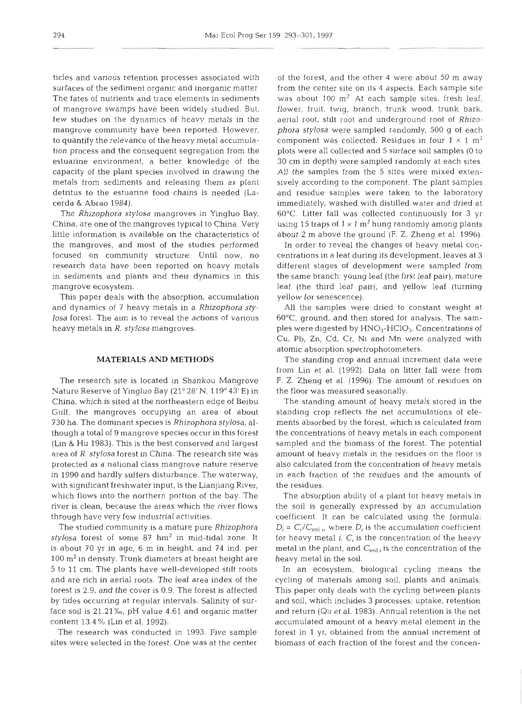ticles and various retention processes associated with surfaces of the sediment organic and inorganic matter The fates of nutrients and trace elements in sediments of mangrove swamps have been widely studied. But, few studies on the dynamics of heavy metals in the mangrove community have been reported. However, to quantify the relevance of the heavy metal accumulation process and the consequent segregation from the estuarine environment, a better knowledge of the capacity of the plant species involved in drawing the metals from sediments and releasing them as plant detritus to the estuarine food chains is needed (Lacerda & Abrao 1984).

The *Rhizophora stylosa* mangroves in Yingluo Bay, China, are one of the mangroves typical to China. Very little information is available on the characteristics of the mangroves, and most of the studies performed focused on community structure. Until now, no research data have been reported on heavy metals in sediments and plants and their dynamics in this mangrove ecosystem.

This paper deals with the absorption, accumulation and dynamics of 7 heavy metals in a *Rhizophora stylosa* forest. The aim is to reveal the actions of various heavy metals in *R. stylosa* mangroves.

## **MATERIALS AND METHODS**

The research site is located in Shankou Mangrove Nature Reserve of Yingluo Bay (21" 28' N, 119" 43' E) in China, which is sited at the northeastern edge of Beibu Gulf, the mangroves occupying an area of about 730 ha. The dominant species is *Rhizophora stylosa,* although a total of 9 mangrove species occur in this forest (Lin & Hu 1983). This is the best conserved and largest area of *R. stylosa* forest in China. The research site was protected as a national class mangrove nature reserve in 1990 and hardly suffers disturbance. The waterway, with significant freshwater input, is the Lianjiang River, which flows into the northern portion of the bay. The river is clean, because the areas which the river flows through have very few industrial activities.

The studied community is a mature pure *Rhizophora stylosa* forest of some 87 hm2 in mid-tidal zone. It is about 70 yr in age, 6 m in height, and 74 ind. per  $100 \text{ m}^2$  in density. Trunk diameters at breast height are 5 to 11 cm. The plants have well-developed stilt roots and are rich in aerial roots. The leaf area index of the forest is 2.9, and the cover is 0.9. The forest is affected by tides occurring at regular intervals. Salinity of surface soil is 21.21 **%o,** pH value 4.61 and organic matter content 13.4 % (Lin et al. 1992).

The research was conducted in 1993. Five sample sites were selected in the forest. One was at the center

of the forest, and the other 4 were about 50 m away from the center site on its 4 aspects. Each sample site was about  $100 \text{ m}^2$  At each sample sites, fresh leaf, flower, fruit, twig, branch, trunk wood, trunk bark, aerial root, stilt root and underground root of *Rhizophora stylosa* were sampled randomly, 500 g of each component was collected. Residues in four  $1 \times 1$  m<sup>2</sup> plots were all collected and 5 surface soil samples (0 to 30 cm in depth) were sampled randomly at each sites. All the samples from the 5 sites were mixed extensively according to the component. The plant samples and residue samples were taken to the laboratory immediately, washed with distilled water and dried at 60°C. Litter fall was collected continuously for 3 yr using 15 traps of  $1 \times 1$  m<sup>2</sup> hung randomly among plants about 2 m above the ground (F. Z. Zheng et al. 1996).

In order to reveal the changes of heavy metal concentrations in a leaf during its development, leaves at 3 different stages of development were sampled from the same branch: young leaf (the first leaf pair), mature leaf (the third leaf pair), and yellow leaf (turning yellow for senescence).

All the samples were dried to constant weight at 60°C, ground, and then stored for analysis. The samples were digested by  $HNO<sub>3</sub>$ -HClO<sub>3</sub>. Concentrations of Cu, Pb, Zn, Cd, Cr, Ni and Mn were analyzed with atomic absorption spectrophotometers.

The standing crop and annual increment data were from Lin et al. (1992). Data on litter fall were from F. Z. Zheng et al. (1996). The amount of residues on the floor was measured seasonally.

The standing amount of heavy metals stored in the standing crop reflects the net accumulations of elements absorbed by the forest, which is calculated from the concentrations of heavy metals in each component sampled and the biomass of the forest. The potential amount of heavy metals in the residues on the floor is also calculated from the concentration of heavy metals in each fraction of the residues and the amounts of the residues.

The absorption ability of a plant for heavy metals in the soil is generally expressed by an accumulation coefficient. It can be calculated using the formula:  $D_i = C_i/C_{\text{coll},i}$  where  $D_i$  is the accumulation coefficient for heavy metal  $i$ ,  $C_i$  is the concentration of the heavy metal in the plant, and  $C_{\text{solid}}$  is the concentration of the heavy metal in the soil.

In an ecosystem, biological cycling means the cycling of materials among soil, plants and animals. This paper only deals with the cycling between plants and soil, which includes **3** processes: uptake, retention and return (Qu et al. 1983). Annual retention is the net accumulated amount of a heavy metal element in the forest in 1 yr, obtained from the annual increment of biomass of each fraction of the forest and the concen-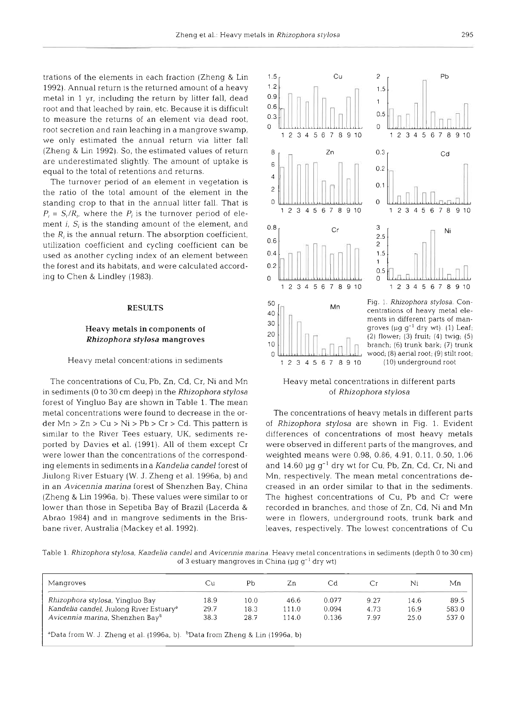trations of the elements in each fraction (Zheng & Lin 1992). Annual return is the returned amount of a heavy metal in 1 yr, including the return by litter fall, dead root and that leached by rain, etc. Because it is difficult to measure the returns of an element via dead root, root secretion and rain leaching in a mangrove swamp, we only estimated the annual return via litter fall (Zheng & Lin 1992). So, the estimated values of return are underestimated slightly. The amount of uptake is equal to the total of retentions and returns.

The turnover period of an element in vegetation is the ratio of the total amount of the element in the standing crop to that in the annual litter fall. That is  $P_i = S_i/R_i$ , where the  $P_i$  is the turnover period of element  $i$ ,  $S_i$  is the standing amount of the element, and the  $R_i$  is the annual return. The absorption coefficient, utilization coefficient and cycling coefficient can be used as another cycling index of an element between the forest and its habitats, and were calculated according to Chen & Lindley (1983).

The concentrations of Cu, Pb, Zn, Cd, Cr, Ni and Mn in sediments (0 to 30 cm deep) in the *Rhzophora stylosa*  forest of Yingluo Bay are shown in Table **1.** The mean metal concentrations were found to decrease in the order Mn > Zn > Cu > Ni > Pb > Cr > Cd. This pattern is similar to the River Tees estuary, UK, sediments reported by Davies et al. (1991). All of them except Cr were lower than the concentrations of the corresponding elements in sediments in a *Kandelia candel* forest of Jiulong River Estuary (W. J. Zheng et al. 1996a, b) and in an *Avicennia marina* forest of Shenzhen Bay, China (Zheng & Lin 1996a, b). These values were similar to or lower than those in Sepetiba Bay of Brazil (Lacerda & Abrao 1984) and in mangrove sediments in the Brisbane river, Australia (Mackey et al. 1992).



Heavy metal concentrations in different parts of *Rhizophora stylosa* 

The concentrations of heavy metals in different parts of *Rhizophora stylosa* are shown in Fig. 1. Evldent differences of concentrations of most heavy metals were observed in different parts of the mangroves, and weighted means were 0.98, 0.86, 4.91, 0.11, 0.50, 1.06 and 14.60  $\mu$ g g<sup>-1</sup> dry wt for Cu, Pb, Zn, Cd, Cr, Ni and Mn, respectively. The mean metal concentrations decreased in an order similar to that in the sediments. The highest concentrations of Cu, Pb and Cr were recorded in branches, and those of Zn, Cd, Ni and Mn were in flowers, underground roots, trunk bark and leaves, respectively. The lowest concentrations of Cu

Table 1. Rhizophora stylosa, Kandelia candel and Avicennia marina. Heavy metal concentrations in sediments (depth 0 to 30 cm) of 3 estuary mangroves in China ( $\mu$ g g<sup>-1</sup> dry wt)

| Mangroves                                                                                           | Сu   | Pb   | Zn.   | Cd    | Сr   | Ni   | Mn    |
|-----------------------------------------------------------------------------------------------------|------|------|-------|-------|------|------|-------|
| <i>Rhizophora stylosa</i> , Yingluo Bay                                                             | 18.9 | 10.0 | 46.6  | 0.077 | 9.27 | 14.6 | 89.5  |
| Kandelia candel, Jiulong River Estuary <sup>a</sup>                                                 | 29.7 | 18.3 | 111.0 | 0.094 | 4.73 | 16.9 | 583.0 |
| Avicennia marina, Shenzhen Bayb                                                                     | 38.3 | 28.7 | 114.0 | 0.136 | 7.97 | 25.0 | 537.0 |
| <sup>a</sup> Data from W. J. Zheng et al. (1996a, b). <sup>b</sup> Data from Zheng & Lin (1996a, b) |      |      |       |       |      |      |       |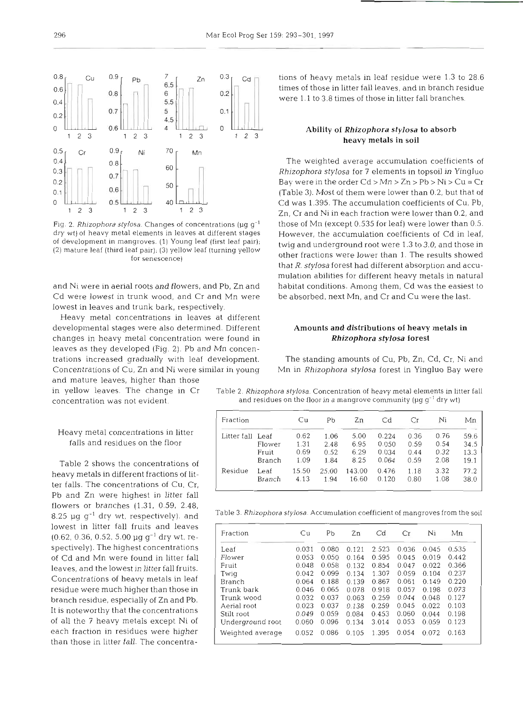50  $0.6$  $0.5$ 40  $1 \quad 2 \quad 3$  $\overline{c}$ 3  $\overline{c}$  $\mathbf{1}$ 1 - 3 Fig. 2. Rhizophora stylosa. Changes of concentrations ( $\mu$ g  $q^{-1}$ dry wt) of heavy metal elements in leaves at different stages of development in mangroves. **(1)** Young leaf (first leaf pair); (2) mature leaf (third leaf pair); (3) yellow leaf (turning yellow

and Ni were in aerial roots and flowers, and Pb, Zn and Cd were lowest in trunk wood, and Cr and Mn were

for senescence)

lowest in leaves and trunk bark, respectively. Heavy metal concentrations in leaves at different developmental stages were also determined. Different changes in heavy metal concentration were found in leaves as they developed (Fig. 2). Pb and Mn concentrations increased gradually with leaf development. Concentrations of Cu, Zn and Ni were similar in young

and mature leaves, higher than those

# Heavy metal concentrations in litter falls and residues on the floor

Pb and Zn were highest in litter fall Table 2 shows the concentrations of heavy metals in different fractions of litter falls. The concentrations of Cu, Cr. flowers or branches (1.31, 0.59, 2.48, 8.25  $\mu$ g g<sup>-1</sup> dry wt. respectively). and lowest in litter fall fruits and leaves  $(0.62, 0.36, 0.52, 5.00 \mu g g^{-1}$  dry wt, respectively). The highest concentrations of Cd and Mn were found in litter fall leaves, and the lowest in litter fall fruits. Concentrations of heavy metals in leaf residue were much higher than those in branch residue, especially of Zn and Pb. It is noteworthy that the concentrations of all the 7 heavy metals except Ni of each fraction in residues were higher than those in litter fall. The concentrations of heavy metals in leaf residue were 1.3 to 28.6 times of those in litter fall leaves, and in branch residue were 1.1 to 3.8 times of those in litter fall branches.

# **<sup>123</sup>**Ability of *Rhizophora stylosa* to absorb heavy metals in soil

The weighted average accumulation coefficients of *Rhizophora stylosa* for 7 elements in topsoil in Yingluo Bay were in the order  $Cd > Mn > Zn > Pb > Ni > Cu = Cr$ (Table 3). Most of them were lower than 0.2, but that of Cd was 1.395. The accumulation coefficients of Cu, Pb, Zn, Cr and Ni in each fraction were lower than 0.2, and those of Mn (except 0.535 for leaf) were lower than 0.5. However, the accumulation coefficients of Cd in leaf, twig and underground root were 1.3 to 3.0, and those in other fractions were lower than 1. The results showed that R. *stylosa* forest had different absorption and accumulation abilities for different heavy metals in natural habitat conditions. Among them, Cd was the easiest to be absorbed, next Mn, and Cr and Cu were the last.

# Amounts and distributions of heavy metals in *Rhizophora stylosa* forest

The standing amounts of Cu, Pb, Zn, Cd, Cr, Ni and Mn in *Rhizophora stylosa* forest in Yingluo Bay were

in yellow leaves. The change in Cr Table 2. Rhizophora stylosa. Concentration of heavy metal elements in litter fall concentration was not evident.  $\qquad \qquad \qquad$  and residues on the floor in a mangrove community (µg g<sup>-1</sup> dry wt)

| Fraction    |        | Сu    | Рb    | Zn     | Cd    | Сr   | Ni   | Мn   |
|-------------|--------|-------|-------|--------|-------|------|------|------|
| Litter fall | Leaf   | 0.62  | 1.06  | 5.00   | 0.224 | 0.36 | 0.76 | 59.6 |
|             | Flower | 1.31  | 2.48  | 6.95   | 0.050 | 0.59 | 0.54 | 34.5 |
|             | Fruit  | 0.69  | 0.52  | 6.29   | 0.034 | 0.44 | 0.32 | 13.3 |
|             | Branch | 1.09  | 1.84  | 8.25   | 0.064 | 0.59 | 2.08 | 19.1 |
| Residue     | Leaf   | 15.50 | 25.00 | 143.00 | 0.476 | 1.18 | 3.32 | 77.2 |
|             | Branch | 4.13  | 1.94  | 16.60  | 0.120 | 0.80 | 1.08 | 38.0 |

Table 3. Rhizophora stylosa. Accumulation coefficient of mangroves from the soil

| Fraction         | Сu    | Pb    | Zn    | Cd    | Сr    | Ni    | Mn    |
|------------------|-------|-------|-------|-------|-------|-------|-------|
| Leaf             | 0.031 | 0.080 | 0.121 | 2.523 | 0.036 | 0.045 | 0.535 |
| Flower           | 0.053 | 0.050 | 0.164 | 0.595 | 0.045 | 0.019 | 0.442 |
| Fruit            | 0.048 | 0.058 | 0.132 | 0.854 | 0.047 | 0.022 | 0.366 |
| Twig             | 0.042 | 0.099 | 0.134 | 1.307 | 0.059 | 0.104 | 0.237 |
| Branch           | 0.064 | 0.188 | 0.139 | 0.867 | 0.061 | 0.149 | 0.220 |
| Trunk bark       | 0.046 | 0.065 | 0.078 | 0.918 | 0.057 | 0.198 | 0.073 |
| Trunk wood       | 0.032 | 0.037 | 0.063 | 0.259 | 0.044 | 0.048 | 0.127 |
| Aerial root      | 0.023 | 0.037 | 0.138 | 0.259 | 0.045 | 0.022 | 0.103 |
| Stilt root       | 0.049 | 0.059 | 0.084 | 0.453 | 0.060 | 0.044 | 0.198 |
| Underground root | 0.060 | 0.096 | 0.134 | 3.014 | 0.053 | 0.059 | 0.123 |
| Weighted average | 0.052 | 0.086 | 0.105 | 1.395 | 0.054 | 0.072 | 0.163 |

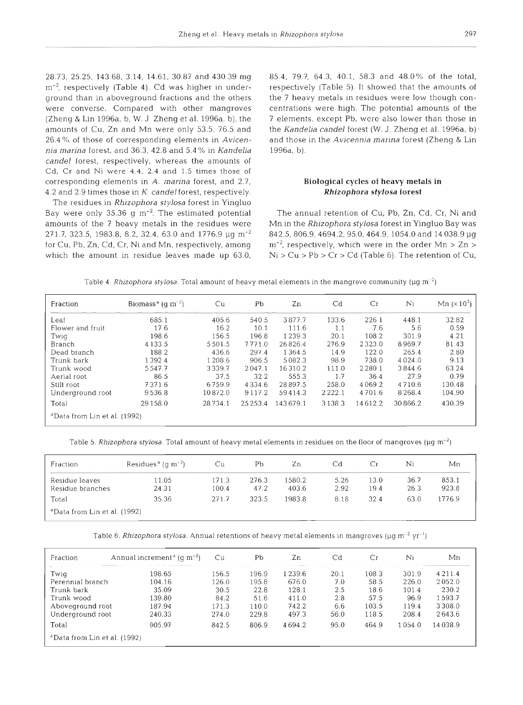28.73, 25.25, 143 68, 3.14, 14.61, 30.87 and 430.39 mg m<sup>-2</sup>, respectively (Table 4). Cd was higher in underground than in aboveground fractions and the others were converse. Compared with other mangroves (Zheng & Lin 1996a, b, W. J Zheng et al. 1996a, b), the amounts of Cu, Zn and Mn were only 53.5, 76.5 and 26.4%) of those of corresponding elements in *Avicennia marina* forest, and 36.3, 42.8 and 5.4% in *Kandelia candel* forest, respectively, whereas the amounts of Cd, Cr and Ni were 4.4, 2.4 and 1.5 times those of corresponding elements In *A. marina* forest, and 2.7, 4.2 and 2.9 times those in K. *candel* forest, respectively.

The residues in *Rhlzophora stylosa* forest in Yingluo Bay were only 35.36 g  $m^{-2}$ . The estimated potential amounts of the 7 heavy metals in the residues were 271.7, 323.5, 1983.8, 8.2, 32.4, 63.0 and 1776.9 µg m<sup>-2</sup> for Cu, Pb, Zn, Cd, Cr, Ni and Mn, respectively, among which the amount in residue leaves made up 63.0, 85.4, 79.7, 64.3, 40.1, 58.3 and 48.0% of the total, respectively (Table 5). It showed that the amounts of the 7 heavy metals in residues were low though concentrations were hlgh. The potential amounts of the 7 elements, except Pb, were also lower than those in the *Kandelia candel* forest *(W. J.* Zheng et al. 1996a, b). and those in the *Avjcennja marlna* forest (Zheng & Lin 1996a, b).

# **Biological cycles of heavy metals in**  *Rhizophora stylosa* **forest**

The annual retention of Cu, Pb, Zn, Cd, Cr, Ni and Mn in the *Rhizophora stylosa* forest in Yingluo Bay was 842.5, 806.9, 4694.2, 95.0, 464.9, 1054.0 and 14 038.9 pg  $m^{-2}$ , respectively, which were in the order Mn  $>$  Zn  $>$  $Ni > Cu > Pb > Cr > Cd$  (Table 6). The retention of Cu,

|  |  | Table 4. Rhizophora stylosa. Total amount of heavy metal elements in the mangrove community ( $\mu$ g m <sup>-2</sup> ) |
|--|--|-------------------------------------------------------------------------------------------------------------------------|
|  |  |                                                                                                                         |

| Fraction                                 | Biomass <sup>a</sup> (q m <sup>-2</sup> ) | Cu      | Pb         | Zn       | Cd        | Cr      | Ni         | Mn $(x10^3)$ |
|------------------------------------------|-------------------------------------------|---------|------------|----------|-----------|---------|------------|--------------|
| Leaf                                     | 685.1                                     | 405.6   | 540.5      | 3877.7   | 133.6     | 226.1   | 448.1      | 32.82        |
| Flower and fruit                         | 17.6                                      | 16.2    | 10.1       | 111.6    | 1.1       | 7.6     | 5.6        | 0.59         |
| Twig                                     | 198.6                                     | 156.5   | 196.8      | 1239.3   | 20.1      | 108.2   | 301.9      | 4.21         |
| Branch                                   | 4 1 3 3 .5                                | 5501.5  | 7771.0     | 26826.4  | 276.9     | 2323.0  | 8969.7     | 81.43        |
| Dead branch                              | 188.2                                     | 436.6   | 297.4      | 1364.5   | 14.9      | 122.0   | 265.4      | 2.80         |
| Trunk bark                               | 1392.4                                    | 1 208.6 | 906.5      | 5082.3   | 98.9      | 738.0   | 4 0 2 4 .0 | 9.13         |
| Trunk wood                               | 5547.7                                    | 3339.7  | 2047.1     | 16310.2  | 111.0     | 2280.1  | 3844.6     | 63.24        |
| Aerial root                              | 86.5                                      | 37.5    | 32.2       | 555.3    | 1.7       | 36.4    | 27.9       | 0.79         |
| Stilt root                               | 7371.6                                    | 6759.9  | 4 3 3 4 .6 | 28897.5  | 258.0     | 4069.2  | 4710.6     | 130.48       |
| Underground root                         | 9536.8                                    | 10872.0 | 9117.2     | 59414.3  | 2 2 2 2 1 | 4701.6  | 8268.4     | 104.90       |
| Total                                    | 29 1 58.0                                 | 28734.1 | 25 25 3.4  | 143679.1 | 3138.3    | 14612.2 | 30866.2    | 430.39       |
| <sup>a</sup> Data from Lin et al. (1992) |                                           |         |            |          |           |         |            |              |

Table 5. Rhizophora stylosa. Total amount of heavy metal elements in residues on the floor of mangroves ( $\mu$ g m<sup>-2</sup>)

| Fraction                                 | Residues <sup>a</sup> (q m <sup>-2</sup> ) | Сu             | Рb            | $_{\rm Zn}$     | Сd           | Сr           | Ni           | Мn             |
|------------------------------------------|--------------------------------------------|----------------|---------------|-----------------|--------------|--------------|--------------|----------------|
| Residue leaves<br>Residue branches       | 11.05<br>24.31                             | 171.3<br>100.4 | 276.3<br>47.2 | 1580.2<br>403.6 | 5.26<br>2.92 | 13.0<br>19.4 | 36.7<br>26.3 | 853.1<br>923.8 |
| Total                                    | 35.36                                      | 271.7          | 323.5         | 1983.8          | 8.18         | 32.4         | 63.0         | 1776.9         |
| <sup>a</sup> Data from Lin et al. (1992) |                                            |                |               |                 |              |              |              |                |

Table 6. Rhizophora stylosa. Annual retentions of heavy metal elements in mangroves ( $\mu$ g m<sup>-2</sup> yr<sup>-1</sup>)

| Fraction                                 | Annual increment <sup>a</sup> (q m <sup>-2</sup> ) | Cu    | Рb    | Zn     | Cd   | Сr    | Ni     | Мn         |
|------------------------------------------|----------------------------------------------------|-------|-------|--------|------|-------|--------|------------|
| Twig                                     | 198.65                                             | 156.5 | 196.9 | 1239.6 | 20.1 | 108.3 | 301.9  | 4 2 1 1 .4 |
| Perennial branch                         | 104.16                                             | 126.0 | 195.8 | 676.0  | 7.0  | 58.5  | 226.0  | 2052.0     |
| Trunk bark                               | 35.09                                              | 30.5  | 22.8  | 128.1  | 2.5  | 18.6  | 101.4  | 230.2      |
| Trunk wood                               | 139.80                                             | 84.2  | 51.6  | 411.0  | 2.8  | 57.5  | 96.9   | 1593.7     |
| Aboveground root                         | 187.94                                             | 171.3 | 110.0 | 742.2  | 6.6  | 103.5 | 119.4  | 3308.0     |
| Underground root                         | 240.33                                             | 274.0 | 229.8 | 497.3  | 56.0 | 118.5 | 208.4  | 2643.6     |
| Total                                    | 905.97                                             | 842.5 | 806.9 | 4694.2 | 95.0 | 464.9 | 1054.0 | 14 038.9   |
| <sup>a</sup> Data from Lin et al. (1992) |                                                    |       |       |        |      |       |        |            |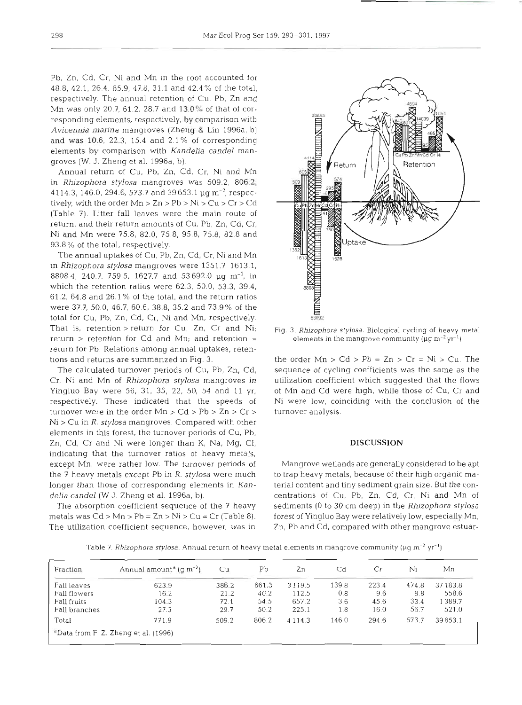Pb, Zn, Cd, Cr, Ni and Mn in the root accounted for 48.8, 42.1, 26.4, 65.9, 47.0, 31.1 and 42.4% of the total, respectively. The annual retention of Cu. Pb, Zn and Mn was only 20 7, 61.2. 28.7 and 13.0% of that of corresponding elements, respectively, by comparison with *Avicennia marina* mangroves (Zheng & Lin 1996a, b) and was 10.6, 22.3, 15.4 and 2.1 % of corresponding elements by comparison with *Kandelia candel* mangroves *(W.* J. Zheng et al. 1996a, b).

Annual return of Cu, Pb, Zn, Cd, Cr, Ni and Mn in *Rhizophora stylosa* mangroves was 509.2, 806.2, 4114.3, 146.0, 294.6, 573.7 and 39653.1  $\mu$ g m<sup>-2</sup>, respectively, with the order Mn > Zn > Pb > Ni > Cu > Cr > Cd (Table 7). Litter fall leaves were the main route of return, and their return amounts of Cu, Pb, Zn, Cd, Cr, Ni and Mn were 75.8, 82.0, 75.8, 95.8, 75.8, 82.8 and 93.8% of the total, respectively.

The annual uptakes of Cu, Pb, Zn, Cd, Cr, Ni and Mn in *Rhizophora stylosa* mangroves were 1351.7, 1613.1, 8808.4, 240.7, 759.5, 1627.7 and 53 692.0 yg m-2, in which the retention ratios were 62.3, 50.0, 53.3, 39.4, 61.2, 64.8 and 26.1 **0/0** of the total, and the return ratios were 37.7, 50.0, 46.7, 60.6, 38.8, 35.2 and 73.9% of the total for Cu, Pb, Zn, Cd, Cr, Ni and Mn, respectively. That is, retention >return for Cu, Zn, Cr and Ni; return > retention for Cd and Mn; and retention = return for Pb. Relations among annual uptakes, retentions and returns are summarized in Fig. 3.

The calculated turnover periods of Cu, Pb, Zn, Cd, Cr, Ni and Mn of *Rhizophora stylosa* mangroves in Yingluo Bay were 56, 31, 35, 22, 50, 54 and 11 yr, respectively. These indicated that the speeds of turnover were in the order  $Mn > Cd > Pb > Zn > Cr >$ Ni > Cu in R. *stylosa* mangroves. Compared with other elements in this forest, the turnover periods of Cu, Pb, Zn, Cd, Cr and Ni were longer than K, Na, Mg, Cl, indicating that the turnover ratios of heavy metals, except Mn, were rather low. The turnover periods of the 7 heavy metals except Pb in *R. stylosa* were much longer than those of corresponding elements in **Kan***delia candel (W* J. Zheng et al. 1996a, b).

The absorption coefficient sequence of the 7 heavy metals was  $Cd > Mn > Pb = Zn > Ni > Cu = Cr (Table 8).$ The utilization coefficient sequence, however, was in



Fig. 3. Rhizophora stylosa. Biological cycling of heavy metal elements in the mangrove community ( $\mu$ g m<sup>-2</sup> yr<sup>-1</sup>)

the order  $Mn > Cd > Pb = Zn > Cr = Ni > Cu$ . The sequence of cycling coefficients was the same as the utilization coefficient which suggested that the flows of Mn and Cd were high, while those of Cu, Cr and Ni were low, coinciding with the conclusion of the turnover analysis.

## **DISCUSSION**

Mangrove wetlands are generally considered to be apt to trap heavy metals, because of their high organic material content and tiny sediment grain size. But the concentrations of Cu, Pb, Zn, Cd, Cr, Ni and Mn of sediments (0 to 30 cm deep) in the *Rhizophora stylosa*  forest of Yingluo Bay were relatively low, especially Mn, Zn, Pb and Cd, compared with other mangrove estuar-

e 7. *Rhizophora stylosa*. Annual return of heavy metal elements in mangrove community (µg m<sup>-2</sup> yr<sup>-1</sup>)

| Fraction      | Annual amount <sup>a</sup> (q m <sup>-2</sup> ) | Сu.   | Pb    | Zn          | Cd    | Cr    | Ni    | Мn       |
|---------------|-------------------------------------------------|-------|-------|-------------|-------|-------|-------|----------|
| Fall leaves   | 623.9                                           | 386.2 | 661.3 | 3 1 1 9 . 5 | 139.8 | 223.4 | 474.8 | 37 183.8 |
| Fall flowers  | 16.2                                            | 21.2  | 40.2  | 112.5       | 0.8   | 9.6   | 8.8   | 558.6    |
| Fall fruits   | 104.3                                           | 72.1  | 54.5  | 657.2       | 3.6   | 45.6  | 33.4  | 1389.7   |
| Fall branches | 27.3                                            | 29.7  | 50.2  | 225.1       | 1.8   | 16.0  | 56.7  | 521.0    |
| Total         | 771.9                                           | 509.2 | 806.2 | 4 1 1 4 .3  | 146.0 | 294.6 | 573.7 | 39653.1  |
|               | <sup>3</sup> Data from F Z. Zheng et al. (1996) |       |       |             |       |       |       |          |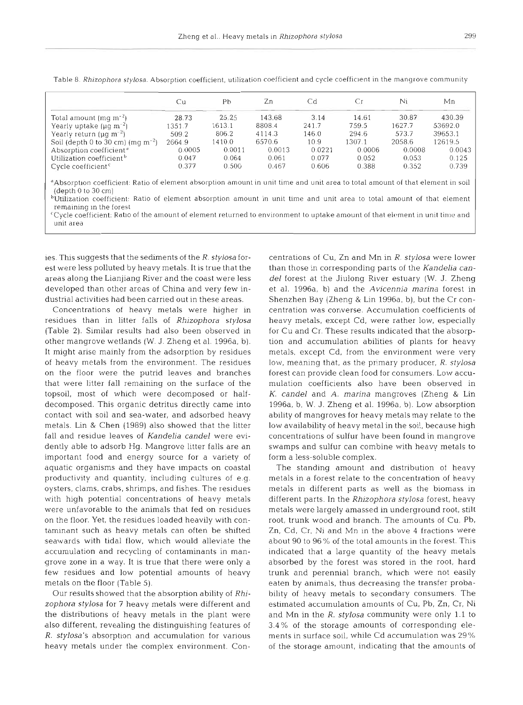|                                             | Cυ     | Рb     | Zn     | Сd     | Сr     | Ni     | Мn      |
|---------------------------------------------|--------|--------|--------|--------|--------|--------|---------|
| Total amount $(mg m^{-2})$                  | 28.73  | 25.25  | 143.68 | 3.14   | 14.61  | 30.87  | 430.39  |
| Yearly uptake $(\mu q m^{-2})$              | 1351.7 | 1613.1 | 8808.4 | 241.7  | 759.5  | 1627.7 | 53692.0 |
| Yearly return ( $\mu q$ m <sup>-2</sup> )   | 509.2  | 806.2  | 4114.3 | 146.0  | 294.6  | 573.7  | 39653.1 |
| Soil (depth 0 to 30 cm) (mg $m^{-2}$ )      | 2664.9 | 1410.0 | 6570.6 | 10.9   | 1307.1 | 2058.6 | 12619.5 |
| Absorption coefficient <sup>®</sup>         | 0.0005 | 0.0011 | 0.0013 | 0.0221 | 0.0006 | 0.0008 | 0.0043  |
| Utilization coefficient <sup>b</sup>        | 0.047  | 0.064  | 0.061  | 0.077  | 0.052  | 0.053  | 0.125   |
| Cycle coefficient <sup><math>c</math></sup> | 0.377  | 0.500  | 0.467  | 0.606  | 0.388  | 0.352  | 0.739   |

Table 8. Rhizophora stylosa. Absorption coefficient, utilization coefficient and cycle coefficient in the mangrove community

(depth 0 to 30 cm)

 $\Phi$ Utilization coefficient: Ratio of element absorption amount in unit time and unit area to total amount of that element remaining in the forest

'Cycle coefficient: Rat10 of the amount of element returned to environment to uptake amount of that element in unit time and unit area

ies. This suggests that the sediments of the R. stylosa forest were less polluted by heavy metals. It is true that the areas along the Lianjiang River and the coast were less developed than other areas of China and very few industrial activities had been carried out in these areas.

Concentrations of heavy metals were higher in residues than in litter falls of Rhizophora stylosa (Table 2). Similar results had also been observed in other mangrove wetlands (W. J. Zheng et al. 1996a, b). It might arise mainly from the adsorption by residues of heavy metals from the environment. The residues on the floor were the putrid leaves and branches that were litter fall remaining on the surface of the topsoil, most of which were decomposed or halfdecomposed. This organic detritus directly came into contact with soil and sea-water, and adsorbed heavy metals. Lin & Chen (1989) also showed that the litter fall and residue leaves of Kandelia candel were evidently able to adsorb Hg. Mangrove litter falls are an important food and energy source for a variety of aquatic organisms and they have impacts on coastal productivity and quantity, including cultures of e.g. oysters, clams, crabs, shrimps, and fishes. The residues with high potential concentrations of heavy metals were unfavorable to the animals that fed on residues on the floor. Yet, the residues loaded heavily with contaminant such as heavy metals can often be shifted seawards with tidal flow, which would alleviate the accumulation and recycling of contaminants in mangrove zone in a way. It is true that there were only a few residues and low potential amounts of heavy metals on the floor (Table 5).

Our results showed that the absorption ability of Rhizophora stylosa for 7 heavy metals were different and the distributions of heavy metals in the plant were also different, revealing the distinguishing features of R. stylosa's absorption and accumulation for various heavy metals under the complex environment. Concentrations of Cu, Zn and Mn in *R. stylosa* were lower<br>than those in centrations of Cu, Zn and Mn in *R. stylosa* were lower<br>del forest at the Jiulong River estuary (W. J. Zhenget al. 1996a, b) and the Avicennia marina f

of the storage amount, indicating that the amounts of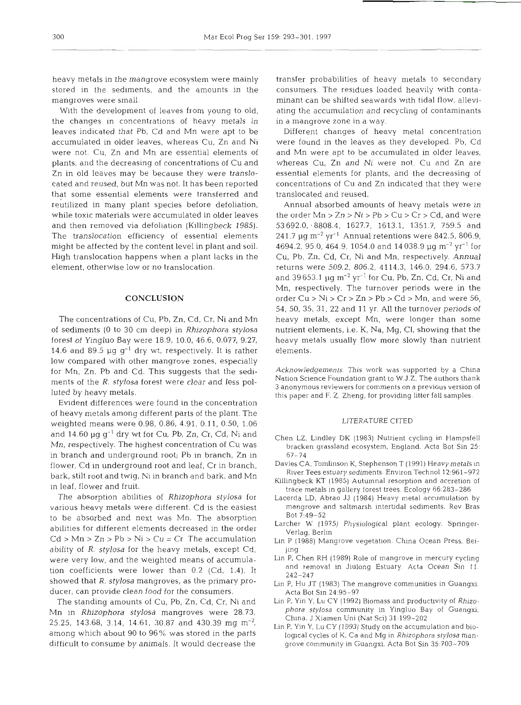heavy metals in the mangrove ecosystem were mainly stored in the sediments, and the amounts in the mangroves were small.

With the development of leaves from young to old, the changes in concentrations of heavy metals in leaves indicated that Pb, Cd and Mn were apt to be accumulated in older leaves, whereas Cu, Zn and Ni were not. Cu, Zn and Mn are essential elements of plants, and the decreasing of concentrations of Cu and Zn in old leaves may be because they were translocated and reused, but Mn was not. It has been reported that some essential elements were transferred and reutilized in many plant species before defoliation, while toxic materials were accumulated in older leaves and then removed via defoliation (Killingbeck 1985). The translocation efficiency of essential elements might he affected by the content level in plant and soil. High translocation happens when a plant lacks in the element, otherwise low or no translocation.

## **CONCLUSION**

The concentrations of Cu, Pb, Zn, Cd, Cr, Ni and Mn of sediments (0 to 30 cm deep) in Rhizophora stylosa forest of Yingluo Bay were 18.9, 10.0, 46.6, 0.077, 9.27, 14.6 and 89.5  $\mu$ g g<sup>-1</sup> dry wt, respectively. It is rather low compared with other mangrove zones, especially for Mn, Zn, Pb and Cd. This suggests that the sediments of the R. stylosa forest were clear and less polluted by heavy metals.

Evident differences were found in the concentration of heavy metals among different parts of the plant. The weighted means were 0.98, 0.86, 4.91, 0.11, 0.50, 1.06 and  $14.60 \mu g g^{-1}$  dry wt for Cu, Pb, Zn, Cr, Cd, Ni and Mn, respectively. The highest concentration of Cu was in branch and underground root; Pb in branch, Zn in flower, Cd in underground root and leaf, Cr in branch, bark, stilt root and twig, Ni in branch and bark, and Mn in leaf, flower and fruit.

The absorption abilities of Rhizophora stylosa for various heavy metals were different. Cd is the easiest to be absorbed and next was Mn. The absorption abilities for different elements decreased in the order  $Cd > Mn > Zn > Pb > Ni > Cu = Cr$  The accumulation ability of R. stylosa for the heavy metals, except Cd, were very low, and the weighted means of accumulation coefficients were lower than 0.2 (Cd, 1.4). It showed that R. stylosa mangroves, as the primary producer, can provide clean food for the consumers.

The standing amounts of Cu, Pb, Zn, Cd, Cr, Ni and Mn in Rhizophora stylosa mangroves were 28.73, 25.25, 143.68, 3.14, 14.61, 30.87 and 430.39 mg m<sup>-2</sup>, among which about 90 to 96% was stored in the parts difficult to consume by animals. It would decrease the

transfer probabilities of heavy metals to secondary consumers. The residues loaded heavily with contaminant can be shifted seawards with tidal flow, alleviating the accumulation and recycling of contaminants in a mangrove zone in a way.

Different changes of heavy metal concentration were found in the leaves as they developed. Pb, Cd and Mn were apt to be accumulated in older leaves, whereas Cu, Zn and Ni were not. Cu and Zn are essential elements for plants, and the decreasing of concentrations of Cu and Zn indicated that they were translocated and reused.

Annual absorbed amounts of heavy metals were in the order  $Mn > Zn > Ni > Pb > Cu > Cr > Cd$ , and were 53692.0, .8808.4, 1627.7, 1613.1, 1351.7, 759.5 and 241.7  $\mu$ g m<sup>-2</sup> yr<sup>-1</sup> Annual retentions were 842.5, 806.9, 4694.2, 95.0, 464.9, 1054.0 and 14 038.9 pg **m-2** yr-' for Cu, Pb, Zn, Cd, Cr, Ni and Mn, respectively. Annual returns were 509.2, 806.2, 4114.3, 146.0, 294.6, 573.7 and 39 653.1  $\mu$ g m<sup>-2</sup> yr<sup>-1</sup> for Cu, Pb, Zn, Cd, Cr, Ni and Mn, respectively. The turnover periods were in the order  $Cu > Ni > Cr > Zn > Pb > Cd > Mn$ , and were 56, 54, 50, 35, 31, 22 and l1 yr. All the turnover periods of heavy metals, except Mn, were longer than some nutrient elements, i.e. K, Na, Mg, Cl, showing that the heavy metals usually flow more slowly than nutrient elements.

Acknowledgements. This work was supported by a China Nation Science Foundation grant to W.J.Z. The authors thank 3 anonymous reviewers for comments on a previous version of this paper and F. Z. Zheng, for providing litter fall samples.

## LITERATURE CITED

- Chen LZ, Lindley DK (1983) Nutrient cycling in Hampsfell bracken grassland ecosystem, England. Acta Bot Sin 25: 67-74
- Davies CA, Tomlinson K, Stephenson T (1991) Heavy metals in River Tees estuary sediments. Environ Technol 12:961-972
- Killingbeck KT (1985) Autumnal resorption and accretion of trace metals in gallery forest trees. Ecology 66:283-286
- Lacerda LD, Abrao JJ (1984) Heavy metal accumulation by mangrove and saltmarsh intertidal sediments. Rev Bras Bot 7:49-52
- Larcher W (1975) Physiological plant ecology. Springer-Verlag, Berlin
- Lin P (1988) Mangrove vegetation. China Ocean Press, Beijing
- Lin P, Chen RH (1989) Role of mangrove in mercury cycling and removal in Jiulong Estuary. Acta Ocean Sin 11. 242-247
- Lin P, Hu JT (1983) The mangrove communities in Guangxi. Acta Bot Sin 24:95-97
- Lin P, Yin Y, Lu CY (1992) Biomass and productivity of *Rhizo*phora *stylosa* community in Yingluo Bay of Guangxi, China. J Xiamen Uni (Nat Sci) 31:199-202
- Lin P, Yin Y, Lu CY (1993) Study on the accumulation and biological cycles of K, Ca and Mg in Rhizophora *stylosa* mangrove community in Guangxi. Acta Bot Sin 35:703-709